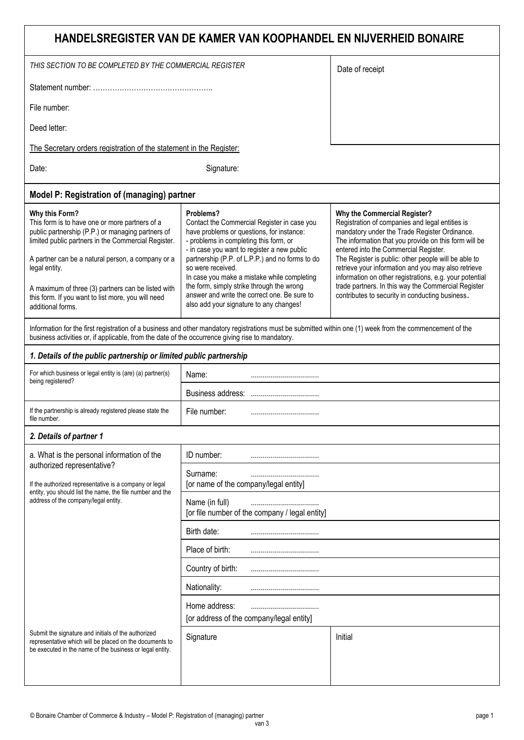| HANDELSREGISTER VAN DE KAMER VAN KOOPHANDEL EN NIJVERHEID BONAIRE                                                                                                                                                                                                                                                                                                                   |                                                                                                                                                                                                                                                                                                                                                                                                                                                               |                                                                                                                                                                                                                                                                                                                                                                                                                                                                                                                        |  |  |  |  |
|-------------------------------------------------------------------------------------------------------------------------------------------------------------------------------------------------------------------------------------------------------------------------------------------------------------------------------------------------------------------------------------|---------------------------------------------------------------------------------------------------------------------------------------------------------------------------------------------------------------------------------------------------------------------------------------------------------------------------------------------------------------------------------------------------------------------------------------------------------------|------------------------------------------------------------------------------------------------------------------------------------------------------------------------------------------------------------------------------------------------------------------------------------------------------------------------------------------------------------------------------------------------------------------------------------------------------------------------------------------------------------------------|--|--|--|--|
| THIS SECTION TO BE COMPLETED BY THE COMMERCIAL REGISTER                                                                                                                                                                                                                                                                                                                             | Date of receipt                                                                                                                                                                                                                                                                                                                                                                                                                                               |                                                                                                                                                                                                                                                                                                                                                                                                                                                                                                                        |  |  |  |  |
|                                                                                                                                                                                                                                                                                                                                                                                     |                                                                                                                                                                                                                                                                                                                                                                                                                                                               |                                                                                                                                                                                                                                                                                                                                                                                                                                                                                                                        |  |  |  |  |
| File number:                                                                                                                                                                                                                                                                                                                                                                        |                                                                                                                                                                                                                                                                                                                                                                                                                                                               |                                                                                                                                                                                                                                                                                                                                                                                                                                                                                                                        |  |  |  |  |
| Deed letter:                                                                                                                                                                                                                                                                                                                                                                        |                                                                                                                                                                                                                                                                                                                                                                                                                                                               |                                                                                                                                                                                                                                                                                                                                                                                                                                                                                                                        |  |  |  |  |
| The Secretary orders registration of the statement in the Register:                                                                                                                                                                                                                                                                                                                 |                                                                                                                                                                                                                                                                                                                                                                                                                                                               |                                                                                                                                                                                                                                                                                                                                                                                                                                                                                                                        |  |  |  |  |
| Date:                                                                                                                                                                                                                                                                                                                                                                               | Signature:                                                                                                                                                                                                                                                                                                                                                                                                                                                    |                                                                                                                                                                                                                                                                                                                                                                                                                                                                                                                        |  |  |  |  |
| Model P: Registration of (managing) partner                                                                                                                                                                                                                                                                                                                                         |                                                                                                                                                                                                                                                                                                                                                                                                                                                               |                                                                                                                                                                                                                                                                                                                                                                                                                                                                                                                        |  |  |  |  |
| Why this Form?<br>This form is to have one or more partners of a<br>public partnership (P.P.) or managing partners of<br>limited public partners in the Commercial Register.<br>A partner can be a natural person, a company or a<br>legal entity.<br>A maximum of three (3) partners can be listed with<br>this form. If you want to list more, you will need<br>additional forms. | Problems?<br>Contact the Commercial Register in case you<br>have problems or questions, for instance:<br>- problems in completing this form, or<br>- in case you want to register a new public<br>partnership (P.P. of L.P.P.) and no forms to do<br>so were received.<br>In case you make a mistake while completing<br>the form, simply strike through the wrong<br>answer and write the correct one. Be sure to<br>also add your signature to any changes! | Why the Commercial Register?<br>Registration of companies and legal entities is<br>mandatory under the Trade Register Ordinance.<br>The information that you provide on this form will be<br>entered into the Commercial Register.<br>The Register is public: other people will be able to<br>retrieve your information and you may also retrieve<br>information on other registrations, e.g. your potential<br>trade partners. In this way the Commercial Register<br>contributes to security in conducting business. |  |  |  |  |
| Information for the first registration of a business and other mandatory registrations must be submitted within one (1) week from the commencement of the<br>business activities or, if applicable, from the date of the occurrence giving rise to mandatory.                                                                                                                       |                                                                                                                                                                                                                                                                                                                                                                                                                                                               |                                                                                                                                                                                                                                                                                                                                                                                                                                                                                                                        |  |  |  |  |
| 1. Details of the public partnership or limited public partnership                                                                                                                                                                                                                                                                                                                  |                                                                                                                                                                                                                                                                                                                                                                                                                                                               |                                                                                                                                                                                                                                                                                                                                                                                                                                                                                                                        |  |  |  |  |
| For which business or legal entity is (are) (a) partner(s)<br>being registered?                                                                                                                                                                                                                                                                                                     | Name:                                                                                                                                                                                                                                                                                                                                                                                                                                                         |                                                                                                                                                                                                                                                                                                                                                                                                                                                                                                                        |  |  |  |  |
|                                                                                                                                                                                                                                                                                                                                                                                     |                                                                                                                                                                                                                                                                                                                                                                                                                                                               |                                                                                                                                                                                                                                                                                                                                                                                                                                                                                                                        |  |  |  |  |
| If the partnership is already registered please state the<br>file number.                                                                                                                                                                                                                                                                                                           | File number:                                                                                                                                                                                                                                                                                                                                                                                                                                                  |                                                                                                                                                                                                                                                                                                                                                                                                                                                                                                                        |  |  |  |  |
| 2. Details of partner 1                                                                                                                                                                                                                                                                                                                                                             |                                                                                                                                                                                                                                                                                                                                                                                                                                                               |                                                                                                                                                                                                                                                                                                                                                                                                                                                                                                                        |  |  |  |  |
| a. What is the personal information of the                                                                                                                                                                                                                                                                                                                                          | ID number:                                                                                                                                                                                                                                                                                                                                                                                                                                                    |                                                                                                                                                                                                                                                                                                                                                                                                                                                                                                                        |  |  |  |  |
| authorized representative?<br>If the authorized representative is a company or legal<br>entity, you should list the name, the file number and the<br>address of the company/legal entity.                                                                                                                                                                                           | Surname:<br>[or name of the company/legal entity]                                                                                                                                                                                                                                                                                                                                                                                                             |                                                                                                                                                                                                                                                                                                                                                                                                                                                                                                                        |  |  |  |  |
|                                                                                                                                                                                                                                                                                                                                                                                     | Name (in full)<br>[or file number of the company / legal entity]                                                                                                                                                                                                                                                                                                                                                                                              |                                                                                                                                                                                                                                                                                                                                                                                                                                                                                                                        |  |  |  |  |
| Birth date:                                                                                                                                                                                                                                                                                                                                                                         |                                                                                                                                                                                                                                                                                                                                                                                                                                                               |                                                                                                                                                                                                                                                                                                                                                                                                                                                                                                                        |  |  |  |  |
|                                                                                                                                                                                                                                                                                                                                                                                     | Place of birth:                                                                                                                                                                                                                                                                                                                                                                                                                                               |                                                                                                                                                                                                                                                                                                                                                                                                                                                                                                                        |  |  |  |  |
|                                                                                                                                                                                                                                                                                                                                                                                     | Country of birth:                                                                                                                                                                                                                                                                                                                                                                                                                                             |                                                                                                                                                                                                                                                                                                                                                                                                                                                                                                                        |  |  |  |  |
|                                                                                                                                                                                                                                                                                                                                                                                     | Nationality:                                                                                                                                                                                                                                                                                                                                                                                                                                                  |                                                                                                                                                                                                                                                                                                                                                                                                                                                                                                                        |  |  |  |  |
|                                                                                                                                                                                                                                                                                                                                                                                     | Home address:<br>[or address of the company/legal entity]                                                                                                                                                                                                                                                                                                                                                                                                     |                                                                                                                                                                                                                                                                                                                                                                                                                                                                                                                        |  |  |  |  |
| Submit the signature and initials of the authorized<br>representative which will be placed on the documents to<br>be executed in the name of the business or legal entity.                                                                                                                                                                                                          | Signature                                                                                                                                                                                                                                                                                                                                                                                                                                                     | Initial                                                                                                                                                                                                                                                                                                                                                                                                                                                                                                                |  |  |  |  |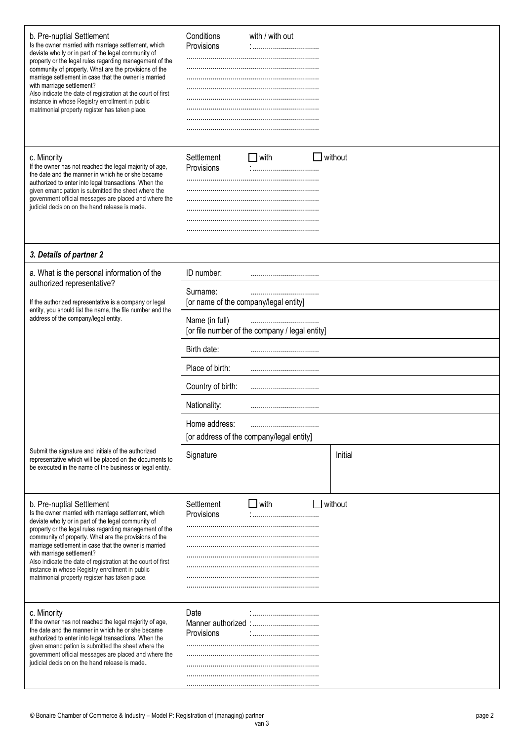| b. Pre-nuptial Settlement<br>Is the owner married with marriage settlement, which<br>deviate wholly or in part of the legal community of<br>property or the legal rules regarding management of the<br>community of property. What are the provisions of the<br>marriage settlement in case that the owner is married<br>with marriage settlement?<br>Also indicate the date of registration at the court of first<br>instance in whose Registry enrollment in public<br>matrimonial property register has taken place. | Conditions<br>Provisions                                                      | with / with out |  |                |  |
|-------------------------------------------------------------------------------------------------------------------------------------------------------------------------------------------------------------------------------------------------------------------------------------------------------------------------------------------------------------------------------------------------------------------------------------------------------------------------------------------------------------------------|-------------------------------------------------------------------------------|-----------------|--|----------------|--|
| c. Minority<br>If the owner has not reached the legal majority of age,<br>the date and the manner in which he or she became<br>authorized to enter into legal transactions. When the<br>given emancipation is submitted the sheet where the<br>government official messages are placed and where the<br>judicial decision on the hand release is made.                                                                                                                                                                  | Settlement<br>Provisions                                                      | $\Box$ with     |  | without        |  |
| 3. Details of partner 2                                                                                                                                                                                                                                                                                                                                                                                                                                                                                                 |                                                                               |                 |  |                |  |
| a. What is the personal information of the                                                                                                                                                                                                                                                                                                                                                                                                                                                                              | ID number:                                                                    |                 |  |                |  |
| authorized representative?<br>If the authorized representative is a company or legal<br>entity, you should list the name, the file number and the<br>address of the company/legal entity.                                                                                                                                                                                                                                                                                                                               | Surname:<br>[or name of the company/legal entity]                             |                 |  |                |  |
|                                                                                                                                                                                                                                                                                                                                                                                                                                                                                                                         | Name (in full)<br><br>[or file number of the company / legal entity]          |                 |  |                |  |
|                                                                                                                                                                                                                                                                                                                                                                                                                                                                                                                         | Birth date:<br>Place of birth:<br><br>Country of birth:                       |                 |  |                |  |
|                                                                                                                                                                                                                                                                                                                                                                                                                                                                                                                         |                                                                               |                 |  |                |  |
|                                                                                                                                                                                                                                                                                                                                                                                                                                                                                                                         |                                                                               |                 |  |                |  |
|                                                                                                                                                                                                                                                                                                                                                                                                                                                                                                                         | Nationality:<br><br>Home address:<br>[or address of the company/legal entity] |                 |  |                |  |
|                                                                                                                                                                                                                                                                                                                                                                                                                                                                                                                         |                                                                               |                 |  |                |  |
| Submit the signature and initials of the authorized<br>representative which will be placed on the documents to<br>be executed in the name of the business or legal entity.                                                                                                                                                                                                                                                                                                                                              | Signature                                                                     |                 |  | Initial        |  |
| b. Pre-nuptial Settlement<br>Is the owner married with marriage settlement, which<br>deviate wholly or in part of the legal community of<br>property or the legal rules regarding management of the<br>community of property. What are the provisions of the<br>marriage settlement in case that the owner is married<br>with marriage settlement?<br>Also indicate the date of registration at the court of first<br>instance in whose Registry enrollment in public<br>matrimonial property register has taken place. | Settlement<br>Provisions                                                      | $\Box$ with     |  | $\Box$ without |  |
| c. Minority<br>If the owner has not reached the legal majority of age,<br>the date and the manner in which he or she became<br>authorized to enter into legal transactions. When the<br>given emancipation is submitted the sheet where the<br>government official messages are placed and where the<br>judicial decision on the hand release is made.                                                                                                                                                                  | Date<br>Provisions                                                            |                 |  |                |  |